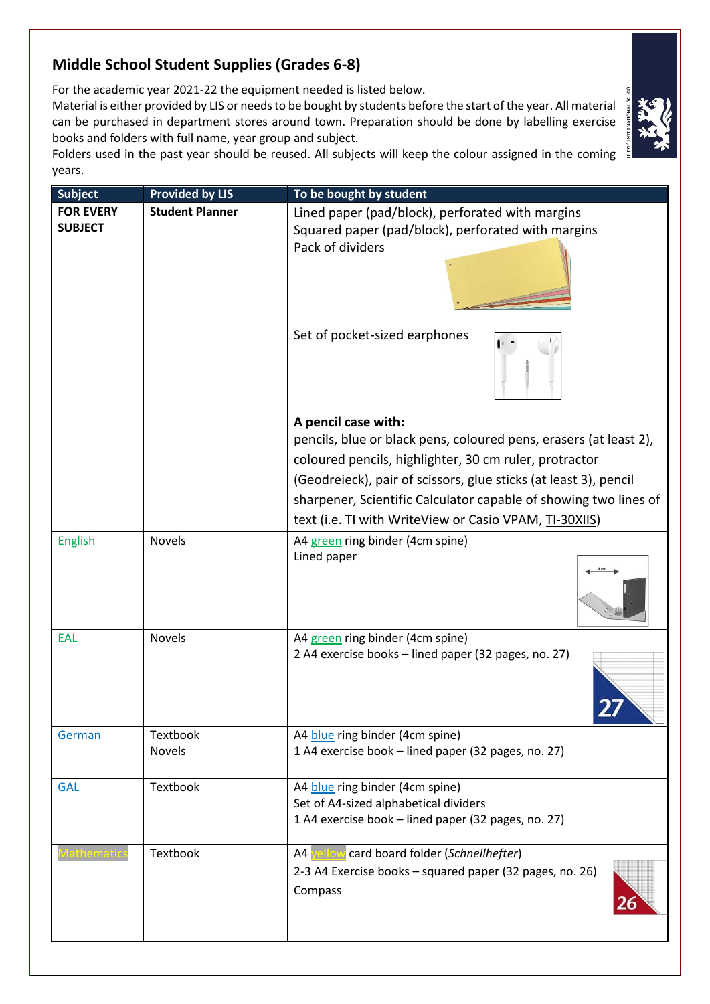## **Middle School Student Supplies (Grades 6-8)**

For the academic year 2021-22 the equipment needed is listed below.

Material is either provided by LIS or needs to be bought by students before the start of the year. All material can be purchased in department stores around town. Preparation should be done by labelling exercise books and folders with full name, year group and subject.



Folders used in the past year should be reused. All subjects will keep the colour assigned in the coming years.

| <b>Subject</b>   | <b>Provided by LIS</b> | To be bought by student                                                                                                         |
|------------------|------------------------|---------------------------------------------------------------------------------------------------------------------------------|
| <b>FOR EVERY</b> | <b>Student Planner</b> | Lined paper (pad/block), perforated with margins                                                                                |
| <b>SUBJECT</b>   |                        | Squared paper (pad/block), perforated with margins                                                                              |
|                  |                        | Pack of dividers                                                                                                                |
|                  |                        | Set of pocket-sized earphones                                                                                                   |
|                  |                        | A pencil case with:                                                                                                             |
|                  |                        | pencils, blue or black pens, coloured pens, erasers (at least 2),                                                               |
|                  |                        | coloured pencils, highlighter, 30 cm ruler, protractor                                                                          |
|                  |                        | (Geodreieck), pair of scissors, glue sticks (at least 3), pencil                                                                |
|                  |                        | sharpener, Scientific Calculator capable of showing two lines of                                                                |
|                  |                        | text (i.e. TI with WriteView or Casio VPAM, TI-30XIIS)                                                                          |
| <b>English</b>   | Novels                 | A4 green ring binder (4cm spine)<br>Lined paper                                                                                 |
| <b>EAL</b>       | Novels                 | A4 green ring binder (4cm spine)<br>2 A4 exercise books - lined paper (32 pages, no. 27)                                        |
| German           | Textbook<br>Novels     | A4 blue ring binder (4cm spine)<br>1 A4 exercise book - lined paper (32 pages, no. 27)                                          |
| <b>GAL</b>       | Textbook               | A4 blue ring binder (4cm spine)<br>Set of A4-sized alphabetical dividers<br>1 A4 exercise book - lined paper (32 pages, no. 27) |
|                  | Textbook               | A4 yellow card board folder (Schnellhefter)<br>2-3 A4 Exercise books - squared paper (32 pages, no. 26)<br>Compass              |